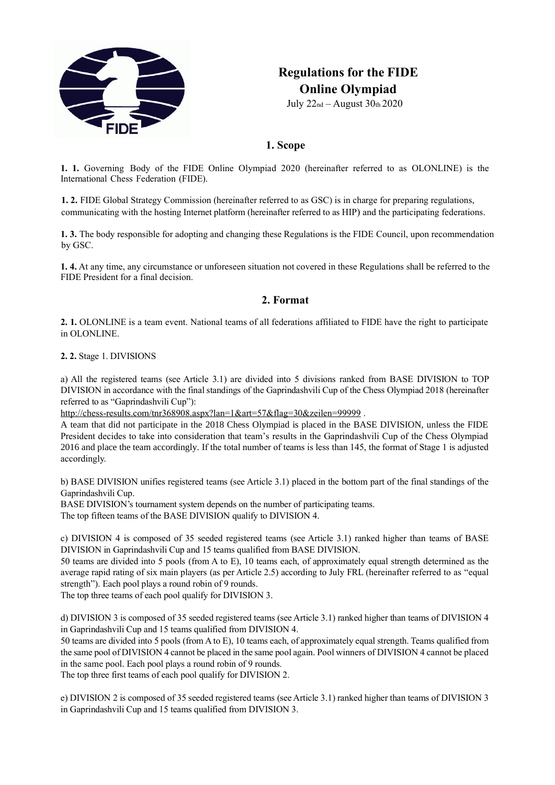

# **Regulations for the FIDE Online Olympiad**

July 22nd – August 30th 2020

# **1. Scope**

**1. 1.** Governing Body of the FIDE Online Olympiad 2020 (hereinafter referred to as OLONLINE) is the International Chess Federation (FIDE).

**1. 2.** FIDE Global Strategy Commission (hereinafter referred to as GSC) is in charge for preparing regulations, communicating with the hosting Internet platform (hereinafter referred to as HIP) and the participating federations.

**1. 3.** The body responsible for adopting and changing these Regulations is the FIDE Council, upon recommendation by GSC.

**1. 4.** At any time, any circumstance or unforeseen situation not covered in these Regulations shall be referred to the FIDE President for a final decision.

# **2. Format**

**2. 1.** OLONLINE is a team event. National teams of all federations affiliated to FIDE have the right to participate in OLONLINE.

**2. 2.** Stage 1. DIVISIONS

a) All the registered teams (see Article 3.1) are divided into 5 divisions ranked from BASE DIVISION to TOP DIVISION in accordance with the final standings of the Gaprindashvili Cup of the Chess Olympiad 2018 (hereinafter referred to as "Gaprindashvili Cup"):

<http://chess-results.com/tnr368908.aspx?lan=1&art=57&flag=30&zeilen=99999>.

A team that did not participate in the 2018 Chess Olympiad is placed in the BASE DIVISION, unless the FIDE President decides to take into consideration that team's results in the Gaprindashvili Cup of the Chess Olympiad 2016 and place the team accordingly. If the total number of teams is less than 145, the format of Stage 1 is adjusted accordingly.

b) BASE DIVISION unifies registered teams (see Article 3.1) placed in the bottom part of the final standings of the Gaprindashvili Cup.

BASE DIVISION's tournament system depends on the number of participating teams. The top fifteen teams of the BASE DIVISION qualify to DIVISION 4.

c) DIVISION 4 is composed of 35 seeded registered teams (see Article 3.1) ranked higher than teams of BASE DIVISION in Gaprindashvili Cup and 15 teams qualified from BASE DIVISION.

50 teams are divided into 5 pools (from A to E), 10 teams each, of approximately equal strength determined as the average rapid rating of six main players (as per Article 2.5) according to July FRL (hereinafter referred to as "equal strength"). Each pool plays a round robin of 9 rounds.

The top three teams of each pool qualify for DIVISION 3.

d) DIVISION 3 is composed of 35 seeded registered teams (see Article 3.1) ranked higher than teams of DIVISION 4 in Gaprindashvili Cup and 15 teams qualified from DIVISION 4.

50 teams are divided into 5 pools (from A to E), 10 teams each, of approximately equal strength. Teams qualified from the same pool of DIVISION 4 cannot be placed in the same pool again. Pool winners of DIVISION 4 cannot be placed in the same pool. Each pool plays a round robin of 9 rounds.

The top three first teams of each pool qualify for DIVISION 2.

e) DIVISION 2 is composed of 35 seeded registered teams (see Article 3.1) ranked higher than teams of DIVISION 3 in Gaprindashvili Cup and 15 teams qualified from DIVISION 3.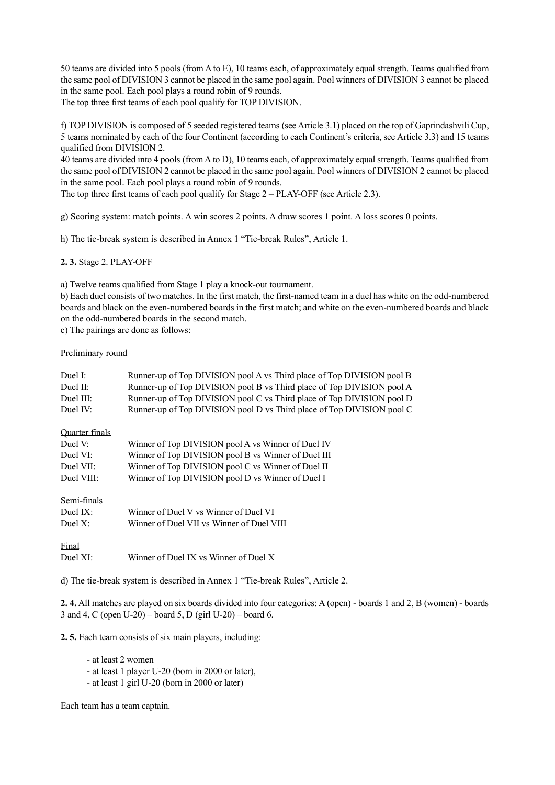50 teams are divided into 5 pools (from A to E), 10 teams each, of approximately equal strength. Teams qualified from the same pool of DIVISION 3 cannot be placed in the same pool again. Pool winners of DIVISION 3 cannot be placed in the same pool. Each pool plays a round robin of 9 rounds.

The top three first teams of each pool qualify for TOP DIVISION.

f) TOP DIVISION is composed of 5 seeded registered teams (see Article 3.1) placed on the top of Gaprindashvili Cup, 5 teams nominated by each of the four Continent (according to each Continent's criteria, see Article 3.3) and 15 teams qualified from DIVISION 2.

40 teams are divided into 4 pools (from A to D), 10 teams each, of approximately equal strength. Teams qualified from the same pool of DIVISION 2 cannot be placed in the same pool again. Pool winners of DIVISION 2 cannot be placed in the same pool. Each pool plays a round robin of 9 rounds.

The top three first teams of each pool qualify for Stage 2 – PLAY-OFF (see Article 2.3).

g) Scoring system: match points. A win scores 2 points. A draw scores 1 point. A loss scores 0 points.

h) The tie-break system is described in Annex 1 "Tie-break Rules", Article 1.

**2. 3.** Stage 2. PLAY-OFF

a) Twelve teams qualified from Stage 1 play a knock-out tournament.

b) Each duel consists of two matches. In the first match, the first-named team in a duel has white on the odd-numbered boards and black on the even-numbered boards in the first match; and white on the even-numbered boards and black on the odd-numbered boards in the second match.

c) The pairings are done as follows:

#### Preliminary round

| Duel I:        | Runner-up of Top DIVISION pool A vs Third place of Top DIVISION pool B        |  |  |  |
|----------------|-------------------------------------------------------------------------------|--|--|--|
| Duel II:       | Runner-up of Top DIVISION pool B vs Third place of Top DIVISION pool A        |  |  |  |
| Duel III:      | Runner-up of Top DIVISION pool C vs Third place of Top DIVISION pool D        |  |  |  |
| Duel IV:       | Runner-up of Top DIVISION pool D vs Third place of Top DIVISION pool C        |  |  |  |
| Quarter finals |                                                                               |  |  |  |
| Duel V:        | Winner of Top DIVISION pool A vs Winner of Duel IV                            |  |  |  |
| Duel VI:       | Winner of Top DIVISION pool B vs Winner of Duel III                           |  |  |  |
| Duel VII:      | Winner of Top DIVISION pool C vs Winner of Duel II                            |  |  |  |
| Duel VIII:     | Winner of Top DIVISION pool D vs Winner of Duel I                             |  |  |  |
| Semi-finals    |                                                                               |  |  |  |
| Duel IX:       | Winner of Duel V vs Winner of Duel VI                                         |  |  |  |
| Duel $X$ :     | Winner of Duel VII vs Winner of Duel VIII                                     |  |  |  |
| Final          |                                                                               |  |  |  |
| Duel XI:       | Winner of Duel IX vs Winner of Duel X                                         |  |  |  |
|                | d) The tie-break system is described in Annex 1 "Tie-break Rules", Article 2. |  |  |  |

**2. 4.** All matches are played on six boards divided into four categories: A (open) - boards 1 and 2, B (women) - boards 3 and 4, C (open U-20) – board 5, D (girl U-20) – board 6.

**2. 5.** Each team consists of six main players, including:

- at least 2 women
- at least 1 player U-20 (born in 2000 or later),
- at least 1 girl U-20 (born in 2000 or later)

Each team has a team captain.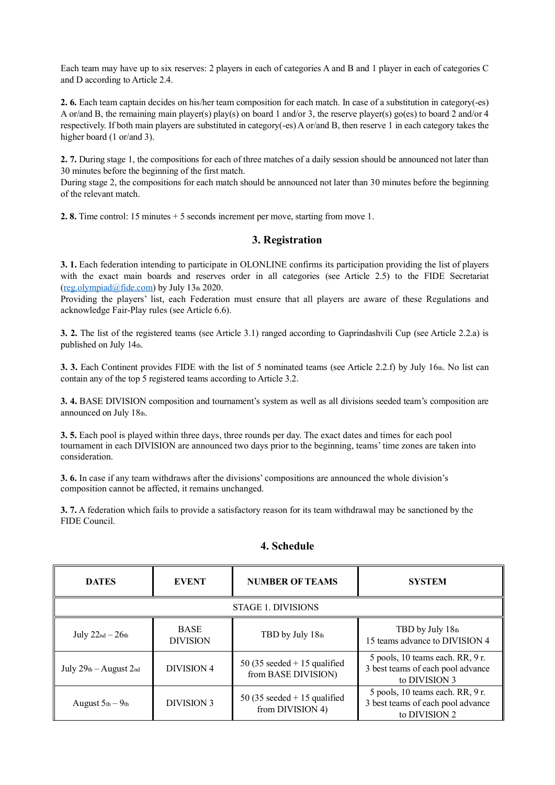Each team may have up to six reserves: 2 players in each of categories A and B and 1 player in each of categories C and D according to Article 2.4.

**2. 6.** Each team captain decides on his/her team composition for each match. In case of a substitution in category(-es) A or/and B, the remaining main player(s) play(s) on board 1 and/or 3, the reserve player(s) go(es) to board 2 and/or 4 respectively. If both main players are substituted in category(-es) A or/and B, then reserve 1 in each category takes the higher board (1 or/and 3).

**2. 7.** During stage 1, the compositions for each of three matches of a daily session should be announced not later than 30 minutes before the beginning of the first match.

During stage 2, the compositions for each match should be announced not later than 30 minutes before the beginning of the relevant match.

**2. 8.** Time control: 15 minutes + 5 seconds increment per move, starting from move 1.

## **3. Registration**

**3. 1.** Each federation intending to participate in OLONLINE confirms its participation providing the list of players with the exact main boards and reserves order in all categories (see Article 2.5) to the FIDE Secretariat  $(reg.olympiad@fide.com)$  by July 13th 2020.

Providing the players' list, each Federation must ensure that all players are aware of these Regulations and acknowledge Fair-Play rules (see Article 6.6).

**3. 2.** The list of the registered teams (see Article 3.1) ranged according to Gaprindashvili Cup (see Article 2.2.a) is published on July 14th.

**3. 3.** Each Continent provides FIDE with the list of 5 nominated teams (see Article 2.2.f) by July 16th. No list can contain any of the top 5 registered teams according to Article 3.2.

**3. 4.** BASE DIVISION composition and tournament's system as well as all divisions seeded team's composition are announced on July 18th.

**3. 5.** Each pool is played within three days, three rounds per day. The exact dates and times for each pool tournament in each DIVISION are announced two days prior to the beginning, teams'time zones are taken into consideration.

**3. 6.** In case if any team withdraws after the divisions' compositions are announced the whole division's composition cannot be affected, it remains unchanged.

**3. 7.** A federation which fails to provide a satisfactory reason for its team withdrawal may be sanctioned by the FIDE Council.

| <b>DATES</b>              | <b>EVENT</b>                   | <b>NUMBER OF TEAMS</b>                                | <b>SYSTEM</b>                                                                          |  |  |  |
|---------------------------|--------------------------------|-------------------------------------------------------|----------------------------------------------------------------------------------------|--|--|--|
| <b>STAGE 1. DIVISIONS</b> |                                |                                                       |                                                                                        |  |  |  |
| July $22_{nd} - 26_{th}$  | <b>BASE</b><br><b>DIVISION</b> | TBD by July 18th                                      | TBD by July 18th<br>15 teams advance to DIVISION 4                                     |  |  |  |
| July $29th - August 2nd$  | <b>DIVISION 4</b>              | 50 (35 seeded $+$ 15 qualified<br>from BASE DIVISION) | 5 pools, 10 teams each. RR, 9 r.<br>3 best teams of each pool advance<br>to DIVISION 3 |  |  |  |
| August $5th - 9th$        | <b>DIVISION 3</b>              | 50 (35 seeded $+$ 15 qualified<br>from DIVISION 4)    | 5 pools, 10 teams each. RR, 9 r.<br>3 best teams of each pool advance<br>to DIVISION 2 |  |  |  |

#### **4. Schedule**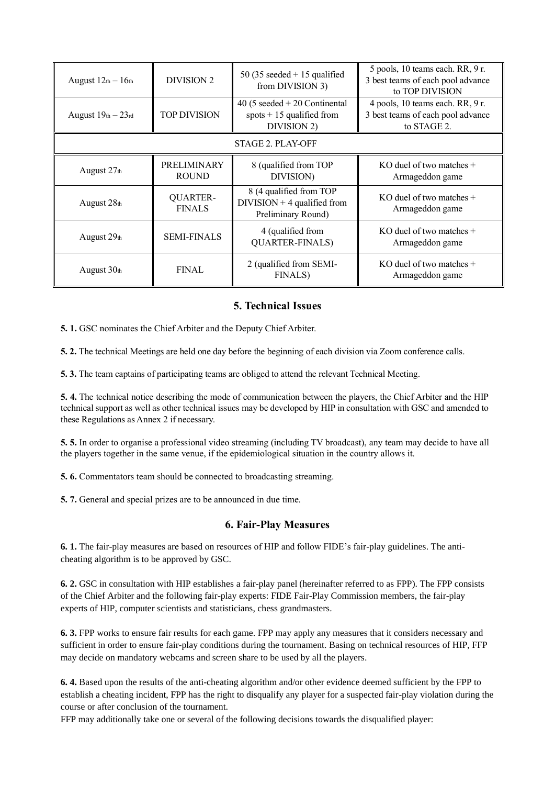| August $12th - 16th$ | DIVISION 2                       | 50 (35 seeded $+$ 15 qualified<br>from DIVISION 3)                             | 5 pools, 10 teams each. RR, 9 r.<br>3 best teams of each pool advance<br>to TOP DIVISION |  |  |  |
|----------------------|----------------------------------|--------------------------------------------------------------------------------|------------------------------------------------------------------------------------------|--|--|--|
| August $19th - 23rd$ | <b>TOP DIVISION</b>              | 40 (5 seeded $+20$ Continental<br>spots $+15$ qualified from<br>DIVISION 2)    | 4 pools, 10 teams each. RR, 9 r.<br>3 best teams of each pool advance<br>to STAGE 2.     |  |  |  |
| STAGE 2. PLAY-OFF    |                                  |                                                                                |                                                                                          |  |  |  |
| August $27th$        | PRELIMINARY<br><b>ROUND</b>      | 8 (qualified from TOP<br>DIVISION)                                             | KO duel of two matches $+$<br>Armageddon game                                            |  |  |  |
| August 28th          | <b>QUARTER-</b><br><b>FINALS</b> | 8 (4 qualified from TOP<br>$DIVISION + 4$ qualified from<br>Preliminary Round) | KO duel of two matches $+$<br>Armageddon game                                            |  |  |  |
| August $29th$        | <b>SEMI-FINALS</b>               | 4 (qualified from<br><b>QUARTER-FINALS)</b>                                    | KO duel of two matches $+$<br>Armageddon game                                            |  |  |  |
| August $30th$        | <b>FINAL</b>                     | 2 (qualified from SEMI-<br><b>FINALS</b> )                                     | KO duel of two matches $+$<br>Armageddon game                                            |  |  |  |

# **5. Technical Issues**

**5. 1.** GSC nominates the Chief Arbiter and the Deputy Chief Arbiter.

**5. 2.** The technical Meetings are held one day before the beginning of each division via Zoom conference calls.

**5. 3.** The team captains of participating teams are obliged to attend the relevant Technical Meeting.

**5. 4.** The technical notice describing the mode of communication between the players, the Chief Arbiter and the HIP technical support as well as other technical issues may be developed by HIP in consultation with GSC and amended to these Regulations as Annex 2 if necessary.

**5. 5.** In order to organise a professional video streaming (including TV broadcast), any team may decide to have all the players together in the same venue, if the epidemiological situation in the country allows it.

**5. 6.** Commentators team should be connected to broadcasting streaming.

**5. 7.** General and special prizes are to be announced in due time.

#### **6. Fair-Play Measures**

**6. 1.** The fair-play measures are based on resources of HIP and follow FIDE's fair-play guidelines. The anticheating algorithm is to be approved by GSC.

**6. 2.** GSC in consultation with HIP establishes a fair-play panel (hereinafter referred to as FPP). The FPP consists of the Chief Arbiter and the following fair-play experts: FIDE Fair-Play Commission members, the fair-play experts of HIP, computer scientists and statisticians, chess grandmasters.

**6. 3.** FPP works to ensure fair results for each game. FPP may apply any measures that it considers necessary and sufficient in order to ensure fair-play conditions during the tournament. Basing on technical resources of HIP, FFP may decide on mandatory webcams and screen share to be used by all the players.

**6. 4.** Based upon the results of the anti-cheating algorithm and/or other evidence deemed sufficient by the FPP to establish a cheating incident, FPP has the right to disqualify any player for a suspected fair-play violation during the course or after conclusion of the tournament.

FFP may additionally take one or several of the following decisions towards the disqualified player: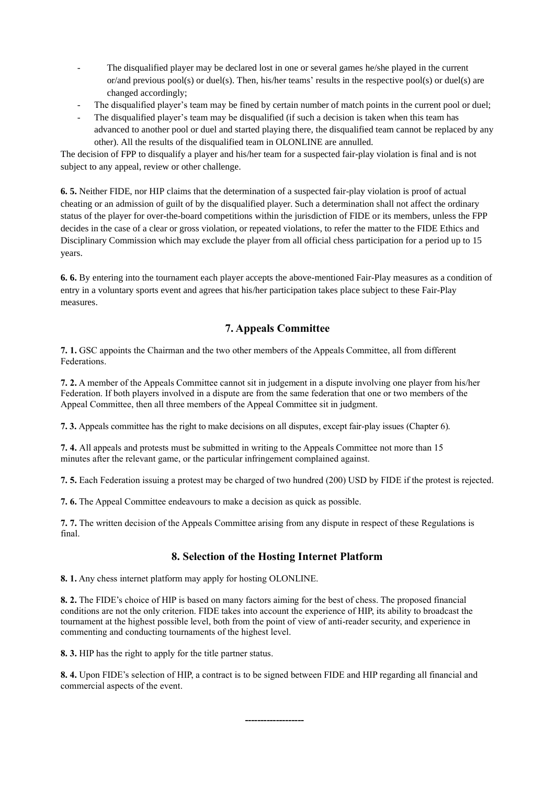- The disqualified player may be declared lost in one or several games he/she played in the current or/and previous pool(s) or duel(s). Then, his/her teams' results in the respective pool(s) or duel(s) are changed accordingly;
- The disqualified player's team may be fined by certain number of match points in the current pool or duel;
- The disqualified player's team may be disqualified (if such a decision is taken when this team has advanced to another pool or duel and started playing there, the disqualified team cannot be replaced by any other). All the results of the disqualified team in OLONLINE are annulled.

The decision of FPP to disqualify a player and his/her team for a suspected fair-play violation is final and is not subject to any appeal, review or other challenge.

**6. 5.** Neither FIDE, nor HIP claims that the determination of a suspected fair-play violation is proof of actual cheating or an admission of guilt of by the disqualified player. Such a determination shall not affect the ordinary status of the player for over-the-board competitions within the jurisdiction of FIDE or its members, unless the FPP decides in the case of a clear or gross violation, or repeated violations, to refer the matter to the FIDE Ethics and Disciplinary Commission which may exclude the player from all official chess participation for a period up to 15 years.

**6. 6.** By entering into the tournament each player accepts the above-mentioned Fair-Play measures as a condition of entry in a voluntary sports event and agrees that his/her participation takes place subject to these Fair-Play measures.

# **7. Appeals Committee**

**7. 1.** GSC appoints the Chairman and the two other members of the Appeals Committee, all from different Federations.

**7. 2.** A member of the Appeals Committee cannot sit in judgement in a dispute involving one player from his/her Federation. If both players involved in a dispute are from the same federation that one or two members of the Appeal Committee, then all three members of the Appeal Committee sit in judgment.

**7. 3.** Appeals committee has the right to make decisions on all disputes, except fair-play issues (Chapter 6).

**7. 4.** All appeals and protests must be submitted in writing to the Appeals Committee not more than 15 minutes after the relevant game, or the particular infringement complained against.

**7. 5.** Each Federation issuing a protest may be charged of two hundred (200) USD by FIDE if the protest is rejected.

**7. 6.** The Appeal Committee endeavours to make a decision as quick as possible.

**7. 7.** The written decision of the Appeals Committee arising from any dispute in respect of these Regulations is final.

## **8. Selection of the Hosting Internet Platform**

**8. 1.** Any chess internet platform may apply for hosting OLONLINE.

**8. 2.** The FIDE's choice of HIP is based on many factors aiming for the best of chess. The proposed financial conditions are not the only criterion. FIDE takes into account the experience of HIP, its ability to broadcast the tournament at the highest possible level, both from the point of view of anti-reader security, and experience in commenting and conducting tournaments of the highest level.

**8. 3.** HIP has the right to apply for the title partner status.

**8. 4.** Upon FIDE's selection of HIP, a contract is to be signed between FIDE and HIP regarding all financial and commercial aspects of the event.

**-------------------**